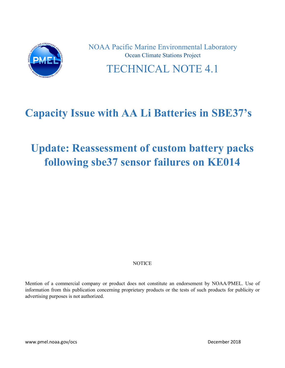

NOAA Pacific Marine Environmental Laboratory Ocean Climate Stations Project TECHNICAL NOTE 4.1

# **Capacity Issue with AA Li Batteries in SBE37's**

# **Update: Reassessment of custom battery packs following sbe37 sensor failures on KE014**

## **NOTICE**

Mention of a commercial company or product does not constitute an endorsement by NOAA/PMEL. Use of information from this publication concerning proprietary products or the tests of such products for publicity or advertising purposes is not authorized.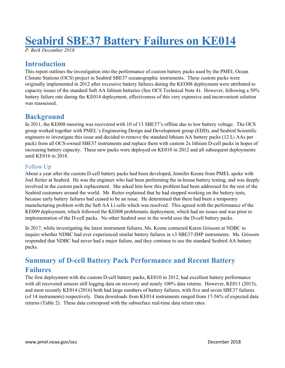# **Seabird SBE37 Battery Failures on KE014**

*P. Berk December 2018*

# **Introduction**

This report outlines the investigation into the performance of custom battery packs used by the PMEL Ocean Climate Stations (OCS) project in Seabird SBE37 oceanographic instruments. These custom packs were originally implemented in 2012 after excessive battery failures during the KEO08 deployment were attributed to capacity issues of the standard Saft AA lithium batteries (See OCS Technical Note 4). However, following a 50% battery failure rate during the KE014 deployment, effectiveness of this very expensive and inconvenient solution was reassessed.

# **Background**

In 2011, the KE008 mooring was recovered with 10 of 13 SBE37's offline due to low battery voltage. The OCS group worked together with PMEL's Engineering Design and Development group (EDD), and Seabird Scientific engineers to investigate this issue and decided to remove the standard lithium AA battery packs (12 Li AAs per pack) from all OCS-owned SBE37 instruments and replace them with custom 2x lithium D-cell packs in hopes of increasing battery capacity. These new packs were deployed on KE010 in 2012 and all subsequent deployments until KE016 in 2018.

## Follow Up

About a year after the custom D-cell battery packs had been developed, Jennifer Keene from PMEL spoke with Joel Reiter at Seabird. He was the engineer who had been performing the in-house battery testing, and was deeply involved in the custom pack replacement. She asked him how this problem had been addressed for the rest of the Seabird customers around the world. Mr. Reiter explained that he had stopped working on the battery tests, because early battery failures had ceased to be an issue. He determined that there had been a temporary manufacturing problem with the Saft AA Li cells which was resolved. This agreed with the performance of the KE009 deployment, which followed the KE008 problematic deployment, which had no issues and was prior to implementation of the D-cell packs. No other Seabird user in the world uses the D-cell battery packs.

In 2017, while investigating the latest instrument failures, Ms. Keene contacted Karen Grissom at NDBC to inquire whether NDBC had ever experienced similar battery failures in v3 SBE37-IMP instruments. Ms. Grissom responded that NDBC had never had a major failure, and they continue to use the standard Seabird AA battery packs.

# **Summary of D-cell Battery Pack Performance and Recent Battery Failures**

The first deployment with the custom D-cell battery packs, KE010 in 2012, had excellent battery performance with all recovered sensors still logging data on recovery and nearly 100% data returns. However, KE011 (2013), and most recently KE014 (2016) both had large numbers of battery failures, with five and seven SBE37 failures (of 14 instruments) respectively. Data downloads from KE014 instruments ranged from 17-56% of expected data returns (Table 2). These data correspond with the subsurface real-time data return rates.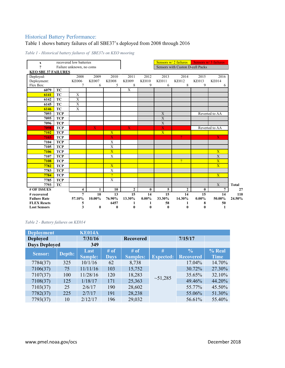#### Historical Battery Performance:

#### Table 1 shows battery failures of all SBE37's deployed from 2008 through 2016

|  |  |  |  |  |  | Table 1 - Historical battery failures of SBE37s on KEO mooring |  |  |
|--|--|--|--|--|--|----------------------------------------------------------------|--|--|
|--|--|--|--|--|--|----------------------------------------------------------------|--|--|



#### *Table 2 - Battery failures on KE014*

| <b>Deployment</b>    |        | <b>KE014A</b> |      |                  |                  |                  |             |  |  |
|----------------------|--------|---------------|------|------------------|------------------|------------------|-------------|--|--|
| <b>Deployed</b>      |        | 7/31/16       |      | <b>Recovered</b> |                  | 7/15/17          |             |  |  |
| <b>Days Deployed</b> |        | 349           |      |                  |                  |                  |             |  |  |
| <b>Sensor:</b>       | Depth: | Last          | # of | # of             | #                | $\frac{6}{6}$    | % Real      |  |  |
|                      |        | Sample:       | Days | <b>Samples:</b>  | <b>Expected:</b> | <b>Recovered</b> | <b>Time</b> |  |  |
| 7784(37)             | 325    | 10/1/16       | 62   | 8,738            |                  | 17.04%           | 14.70%      |  |  |
| 7106(37)             | 75     | 11/11/16      | 103  | 15,752           |                  | 30.72%           | 27.30%      |  |  |
| 7107(37)             | 100    | 11/28/16      | 120  | 18,283           |                  | 35.65%           | 32.10%      |  |  |
| 7108(37)             | 125    | 1/18/17       | 171  | 25,363           | ~1,285           | 49.46%           | 44.20%      |  |  |
| 7103(37)             | 25     | 2/6/17        | 190  | 28,602           |                  | 55.77%           | 45.50%      |  |  |
| 7782(37)             | 225    | 2/7/17        | 191  | 28,238           |                  | 55.06%           | 51.30%      |  |  |
| 7793(37)             | 10     | 2/12/17       | 196  | 29,032           |                  | 56.61%           | 55.40%      |  |  |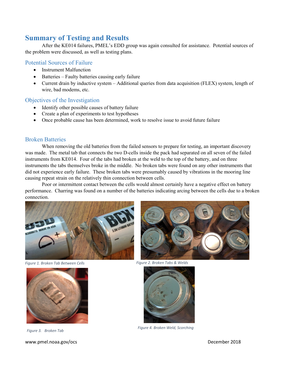## **Summary of Testing and Results**

After the KE014 failures, PMEL's EDD group was again consulted for assistance. Potential sources of the problem were discussed, as well as testing plans.

### Potential Sources of Failure

- Instrument Malfunction
- Batteries Faulty batteries causing early failure
- Current drain by inductive system Additional queries from data acquisition (FLEX) system, length of wire, bad modems, etc.

#### Objectives of the Investigation

- Identify other possible causes of battery failure
- Create a plan of experiments to test hypotheses
- Once probable cause has been determined, work to resolve issue to avoid future failure

#### Broken Batteries

When removing the old batteries from the failed sensors to prepare for testing, an important discovery was made. The metal tab that connects the two D-cells inside the pack had separated on all seven of the failed instruments from KE014. Four of the tabs had broken at the weld to the top of the battery, and on three instruments the tabs themselves broke in the middle. No broken tabs were found on any other instruments that did not experience early failure. These broken tabs were presumably caused by vibrations in the mooring line causing repeat strain on the relatively thin connection between cells.

Poor or intermittent contact between the cells would almost certainly have a negative effect on battery performance. Charring was found on a number of the batteries indicating arcing between the cells due to a broken connection.



*Figure 1. Broken Tab Between Cells*



www.pmel.noaa.gov/ocs and the control of the control of the control of the control of the control of the control of the control of the control of the control of the control of the control of the control of the control of t



*Figure 2. Broken Tabs & Welds*



*Figure 3. Broken Tab Figure 4. Broken Weld, Scorching*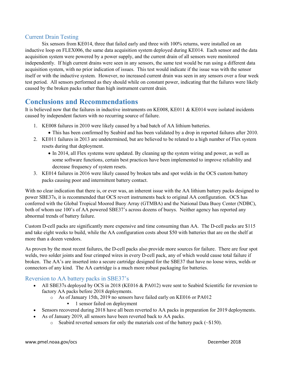### Current Drain Testing

Six sensors from KE014, three that failed early and three with 100% returns, were installed on an inductive loop on FLEX006, the same data acquisition system deployed during KE014. Each sensor and the data acquisition system were powered by a power supply, and the current drain of all sensors were monitored independently. If high current drains were seen in any sensors, the same test would be run using a different data acquisition system, with no prior indication of issues. This test would indicate if the issue was with the sensor itself or with the inductive system. However, no increased current drain was seen in any sensors over a four week test period. All sensors performed as they should while on constant power, indicating that the failures were likely caused by the broken packs rather than high instrument current drain.

## **Conclusions and Recommendations**

It is believed now that the failures in inductive instruments on KE008, KE011 & KE014 were isolated incidents caused by independent factors with no recurring source of failure.

- 1. KE008 failures in 2010 were likely caused by a bad batch of AA lithium batteries.
	- This has been confirmed by Seabird and has been validated by a drop in reported failures after 2010.
- 2. KE011 failures in 2013 are undetermined, but are believed to be related to a high number of Flex system resets during that deployment.
	- In 2014, all Flex systems were updated. By cleaning up the system wiring and power, as well as some software functions, certain best practices have been implemented to improve reliability and decrease frequency of system resets.
- 3. KE014 failures in 2016 were likely caused by broken tabs and spot welds in the OCS custom battery packs causing poor and intermittent battery contact.

With no clear indication that there is, or ever was, an inherent issue with the AA lithium battery packs designed to power SBE37s, it is recommended that OCS revert instruments back to original AA configuration. OCS has conferred with the Global Tropical Moored Buoy Array (GTMBA) and the National Data Buoy Center (NDBC), both of whom use 100's of AA powered SBE37's across dozens of buoys. Neither agency has reported any abnormal trends of battery failure.

Custom D-cell packs are significantly more expensive and time consuming than AA. The D-cell packs are \$115 and take eight weeks to build, while the AA configuration costs about \$50 with batteries that are on the shelf at more than a dozen vendors.

As proven by the most recent failures, the D-cell packs also provide more sources for failure. There are four spot welds, two solder joints and four crimped wires in every D-cell pack, any of which would cause total failure if broken. The AA's are inserted into a secure cartridge designed for the SBE37 that have no loose wires, welds or connectors of any kind. The AA cartridge is a much more robust packaging for batteries.

### Reversion to AA battery packs in SBE37's

- All SBE37s deployed by OCS in 2018 (KE016 & PA012) were sent to Seabird Scientific for reversion to factory AA packs before 2018 deployments.
	- o As of January 15th, 2019 no sensors have failed early on KE016 or PA012
		- 1 sensor failed on deployment
- Sensors recovered during 2018 have all been reverted to AA packs in preparation for 2019 deployments.
- As of January 2019, all sensors have been reverted back to AA packs.
	- $\circ$  Seabird reverted sensors for only the materials cost of the battery pack ( $\sim$ \$150).